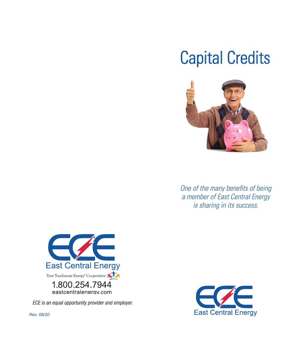# Capital Credits



*One of the many benefits of being a member of East Central Energy is sharing in its success.*



ECE is an equal opportunity provider and employer.